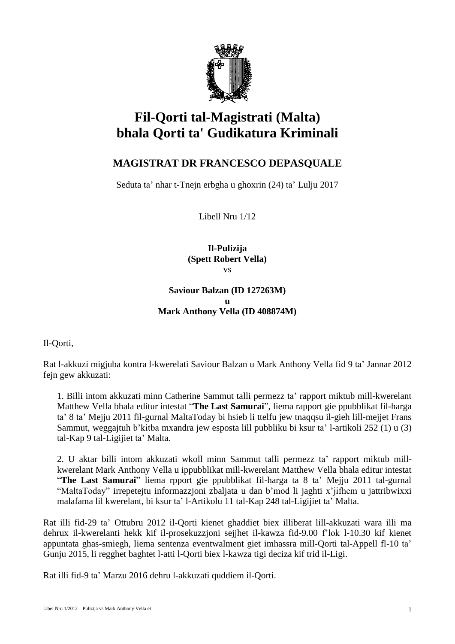

# **Fil-Qorti tal-Magistrati (Malta) bhala Qorti ta' Gudikatura Kriminali**

## **MAGISTRAT DR FRANCESCO DEPASQUALE**

Seduta ta' nhar t-Tnejn erbgha u ghoxrin (24) ta' Lulju 2017

Libell Nru 1/12

**Il-Pulizija (Spett Robert Vella)** vs

### **Saviour Balzan (ID 127263M) u Mark Anthony Vella (ID 408874M)**

Il-Qorti,

Rat l-akkuzi migjuba kontra l-kwerelati Saviour Balzan u Mark Anthony Vella fid 9 ta' Jannar 2012 fejn gew akkuzati:

1. Billi intom akkuzati minn Catherine Sammut talli permezz ta' rapport miktub mill-kwerelant Matthew Vella bhala editur intestat "**The Last Samurai**", liema rapport gie ppubblikat fil-harga ta' 8 ta' Mejju 2011 fil-gurnal MaltaToday bi hsieb li ttelfu jew tnaqqsu il-gieh lill-mejjet Frans Sammut, weggajtuh b'kitba mxandra jew esposta lill pubbliku bi ksur ta' l-artikoli 252 (1) u (3) tal-Kap 9 tal-Ligijiet ta' Malta.

2. U aktar billi intom akkuzati wkoll minn Sammut talli permezz ta' rapport miktub millkwerelant Mark Anthony Vella u ippubblikat mill-kwerelant Matthew Vella bhala editur intestat "**The Last Samurai**" liema rpport gie ppubblikat fil-harga ta 8 ta' Mejju 2011 tal-gurnal "MaltaToday" irrepetejtu informazzjoni zbaljata u dan b'mod li jaghti x'jifhem u jattribwixxi malafama lil kwerelant, bi ksur ta' l-Artikolu 11 tal-Kap 248 tal-Ligijiet ta' Malta.

Rat illi fid-29 ta' Ottubru 2012 il-Qorti kienet ghaddiet biex illiberat lill-akkuzati wara illi ma dehrux il-kwerelanti hekk kif il-prosekuzzjoni sejjhet il-kawza fid-9.00 f'lok l-10.30 kif kienet appuntata ghas-smiegh, liema sentenza eventwalment giet imhassra mill-Qorti tal-Appell fl-10 ta' Gunju 2015, li regghet baghtet l-atti l-Qorti biex l-kawza tigi deciza kif trid il-Ligi.

Rat illi fid-9 ta' Marzu 2016 dehru l-akkuzati quddiem il-Qorti.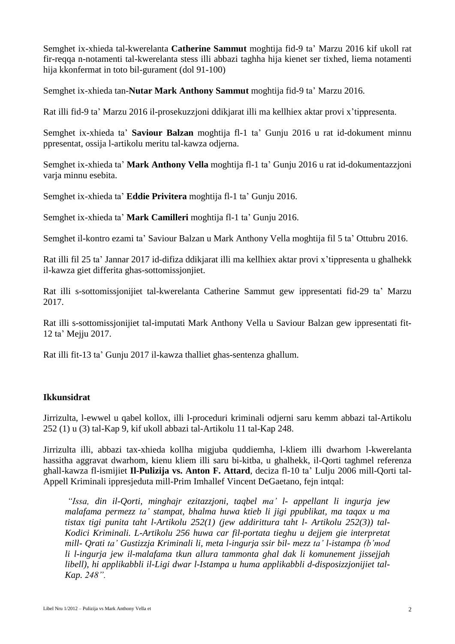Semghet ix-xhieda tal-kwerelanta **Catherine Sammut** moghtija fid-9 ta' Marzu 2016 kif ukoll rat fir-reqqa n-notamenti tal-kwerelanta stess illi abbazi taghha hija kienet ser tixhed, liema notamenti hija kkonfermat in toto bil-gurament (dol 91-100)

Semghet ix-xhieda tan-**Nutar Mark Anthony Sammut** moghtija fid-9 ta' Marzu 2016.

Rat illi fid-9 ta' Marzu 2016 il-prosekuzzjoni ddikjarat illi ma kellhiex aktar provi x'tippresenta.

Semghet ix-xhieda ta' **Saviour Balzan** moghtija fl-1 ta' Gunju 2016 u rat id-dokument minnu ppresentat, ossija l-artikolu meritu tal-kawza odjerna.

Semghet ix-xhieda ta' **Mark Anthony Vella** moghtija fl-1 ta' Gunju 2016 u rat id-dokumentazzjoni varja minnu esebita.

Semghet ix-xhieda ta' **Eddie Privitera** moghtija fl-1 ta' Gunju 2016.

Semghet ix-xhieda ta' **Mark Camilleri** moghtija fl-1 ta' Gunju 2016.

Semghet il-kontro ezami ta' Saviour Balzan u Mark Anthony Vella moghtija fil 5 ta' Ottubru 2016.

Rat illi fil 25 ta' Jannar 2017 id-difiza ddikjarat illi ma kellhiex aktar provi x'tippresenta u ghalhekk il-kawza giet differita ghas-sottomissjonjiet.

Rat illi s-sottomissjonijiet tal-kwerelanta Catherine Sammut gew ippresentati fid-29 ta' Marzu 2017.

Rat illi s-sottomissjonijiet tal-imputati Mark Anthony Vella u Saviour Balzan gew ippresentati fit-12 ta' Mejju 2017.

Rat illi fit-13 ta' Gunju 2017 il-kawza thalliet ghas-sentenza ghallum.

#### **Ikkunsidrat**

Jirrizulta, l-ewwel u qabel kollox, illi l-proceduri kriminali odjerni saru kemm abbazi tal-Artikolu 252 (1) u (3) tal-Kap 9, kif ukoll abbazi tal-Artikolu 11 tal-Kap 248.

Jirrizulta illi, abbazi tax-xhieda kollha migjuba quddiemha, l-kliem illi dwarhom l-kwerelanta hassitha aggravat dwarhom, kienu kliem illi saru bi-kitba, u ghalhekk, il-Qorti taghmel referenza ghall-kawza fl-ismijiet **Il-Pulizija vs. Anton F. Attard**, deciza fl-10 ta' Lulju 2006 mill-Qorti tal-Appell Kriminali ippresjeduta mill-Prim Imhallef Vincent DeGaetano, fejn intqal:

*"Issa, din il-Qorti, minghajr ezitazzjoni, taqbel ma' l- appellant li ingurja jew malafama permezz ta' stampat, bhalma huwa ktieb li jigi ppublikat, ma taqax u ma tistax tigi punita taht l-Artikolu 252(1) (jew addirittura taht l- Artikolu 252(3)) tal-Kodici Kriminali. L-Artikolu 256 huwa car fil-portata tieghu u dejjem gie interpretat mill- Qrati ta' Gustizzja Kriminali li, meta l-ingurja ssir bil- mezz ta' l-istampa (b'mod li l-ingurja jew il-malafama tkun allura tammonta ghal dak li komunement jissejjah libell), hi applikabbli il-Ligi dwar l-Istampa u huma applikabbli d-disposizzjonijiet tal-Kap. 248".*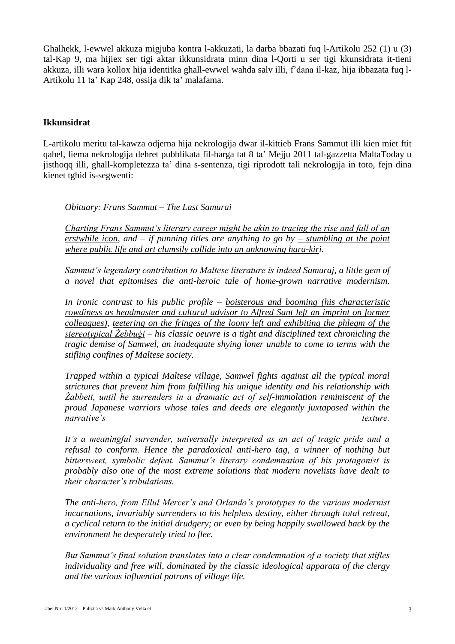Ghalhekk, l-ewwel akkuza migjuba kontra l-akkuzati, la darba bbazati fuq l-Artikolu 252 (1) u (3) tal-Kap 9, ma hijiex ser tigi aktar ikkunsidrata minn dina l-Qorti u ser tigi kkunsidrata it-tieni akkuza, illi wara kollox hija identitka ghall-ewwel wahda salv illi, f'dana il-kaz, hija ibbazata fuq l-Artikolu 11 ta' Kap 248, ossija dik ta' malafama.

#### **Ikkunsidrat**

L-artikolu meritu tal-kawza odjerna hija nekrologija dwar il-kittieb Frans Sammut illi kien miet ftit qabel, liema nekrologija dehret pubblikata fil-harga tat 8 ta' Mejju 2011 tal-gazzetta MaltaToday u jisthoqq illi, ghall-kompletezza ta' dina s-sentenza, tigi riprodott tali nekrologija in toto, fejn dina kienet tghid is-segwenti:

*Obituary: Frans Sammut – The Last Samurai*

*Charting Frans Sammut's literary career might be akin to tracing the rise and fall of an erstwhile icon, and – if punning titles are anything to go by – stumbling at the point where public life and art clumsily collide into an unknowing hara-kiri.*

*Sammut's legendary contribution to Maltese literature is indeed Samuraj, a little gem of a novel that epitomises the anti-heroic tale of home-grown narrative modernism.*

*In ironic contrast to his public profile – boisterous and booming (his characteristic rowdiness as headmaster and cultural advisor to Alfred Sant left an imprint on former colleagues), teetering on the fringes of the loony left and exhibiting the phlegm of the stereotypical Żebbuġi – his classic oeuvre is a tight and disciplined text chronicling the tragic demise of Samwel, an inadequate shying loner unable to come to terms with the stifling confines of Maltese society.*

*Trapped within a typical Maltese village, Samwel fights against all the typical moral strictures that prevent him from fulfilling his unique identity and his relationship with Żabbett, until he surrenders in a dramatic act of self-immolation reminiscent of the proud Japanese warriors whose tales and deeds are elegantly juxtaposed within the narrative's* texture.

*It's a meaningful surrender, universally interpreted as an act of tragic pride and a refusal to conform. Hence the paradoxical anti-hero tag, a winner of nothing but bittersweet, symbolic defeat. Sammut's literary condemnation of his protagonist is probably also one of the most extreme solutions that modern novelists have dealt to their character's tribulations.*

*The anti-hero, from Ellul Mercer's and Orlando's prototypes to the various modernist incarnations, invariably surrenders to his helpless destiny, either through total retreat, a cyclical return to the initial drudgery; or even by being happily swallowed back by the environment he desperately tried to flee.*

*But Sammut's final solution translates into a clear condemnation of a society that stifles individuality and free will, dominated by the classic ideological apparata of the clergy and the various influential patrons of village life.*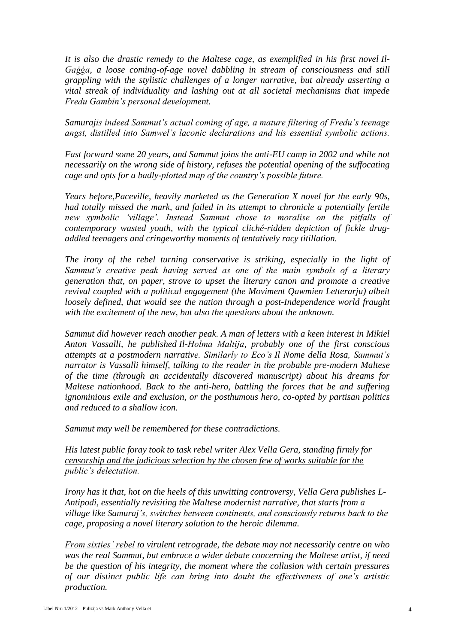*It is also the drastic remedy to the Maltese cage, as exemplified in his first novel Il-Gaġġa, a loose coming-of-age novel dabbling in stream of consciousness and still grappling with the stylistic challenges of a longer narrative, but already asserting a vital streak of individuality and lashing out at all societal mechanisms that impede Fredu Gambin's personal development.*

*Samurajis indeed Sammut's actual coming of age, a mature filtering of Fredu's teenage angst, distilled into Samwel's laconic declarations and his essential symbolic actions.*

*Fast forward some 20 years, and Sammut joins the anti-EU camp in 2002 and while not necessarily on the wrong side of history, refuses the potential opening of the suffocating cage and opts for a badly-plotted map of the country's possible future.*

*Years before,Paceville, heavily marketed as the Generation X novel for the early 90s, had totally missed the mark, and failed in its attempt to chronicle a potentially fertile new symbolic 'village'. Instead Sammut chose to moralise on the pitfalls of contemporary wasted youth, with the typical cliché-ridden depiction of fickle drugaddled teenagers and cringeworthy moments of tentatively racy titillation.*

*The irony of the rebel turning conservative is striking, especially in the light of Sammut's creative peak having served as one of the main symbols of a literary generation that, on paper, strove to upset the literary canon and promote a creative revival coupled with a political engagement (the Moviment Qawmien Letterarju) albeit loosely defined, that would see the nation through a post-Independence world fraught with the excitement of the new, but also the questions about the unknown.*

*Sammut did however reach another peak. A man of letters with a keen interest in Mikiel Anton Vassalli, he published Il-Ħolma Maltija, probably one of the first conscious attempts at a postmodern narrative. Similarly to Eco's Il Nome della Rosa, Sammut's narrator is Vassalli himself, talking to the reader in the probable pre-modern Maltese of the time (through an accidentally discovered manuscript) about his dreams for Maltese nationhood. Back to the anti-hero, battling the forces that be and suffering ignominious exile and exclusion, or the posthumous hero, co-opted by partisan politics and reduced to a shallow icon.*

*Sammut may well be remembered for these contradictions.*

*His latest public foray took to task rebel writer Alex Vella Gera, standing firmly for censorship and the judicious selection by the chosen few of works suitable for the public's delectation.*

*Irony has it that, hot on the heels of this unwitting controversy, Vella Gera publishes L-Antipodi, essentially revisiting the Maltese modernist narrative, that starts from a village like Samuraj's, switches between continents, and consciously returns back to the cage, proposing a novel literary solution to the heroic dilemma.*

*From sixties' rebel to virulent retrograde, the debate may not necessarily centre on who was the real Sammut, but embrace a wider debate concerning the Maltese artist, if need be the question of his integrity, the moment where the collusion with certain pressures of our distinct public life can bring into doubt the effectiveness of one's artistic production.*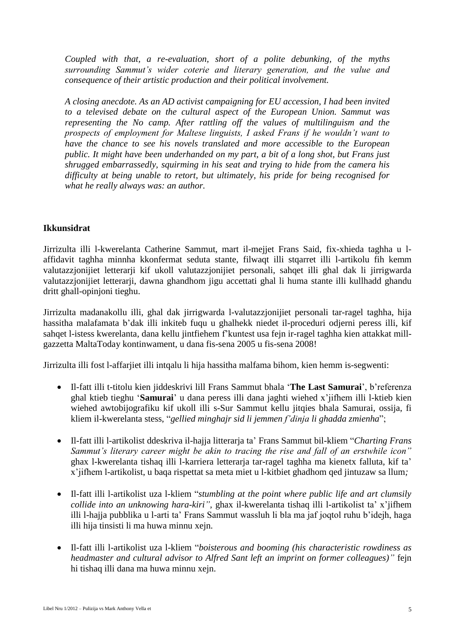*Coupled with that, a re-evaluation, short of a polite debunking, of the myths surrounding Sammut's wider coterie and literary generation, and the value and consequence of their artistic production and their political involvement.*

*A closing anecdote. As an AD activist campaigning for EU accession, I had been invited to a televised debate on the cultural aspect of the European Union. Sammut was representing the No camp. After rattling off the values of multilinguism and the prospects of employment for Maltese linguists, I asked Frans if he wouldn't want to have the chance to see his novels translated and more accessible to the European public. It might have been underhanded on my part, a bit of a long shot, but Frans just shrugged embarrassedly, squirming in his seat and trying to hide from the camera his difficulty at being unable to retort, but ultimately, his pride for being recognised for what he really always was: an author.*

#### **Ikkunsidrat**

Jirrizulta illi l-kwerelanta Catherine Sammut, mart il-mejjet Frans Said, fix-xhieda taghha u laffidavit taghha minnha kkonfermat seduta stante, filwaqt illi stqarret illi l-artikolu fih kemm valutazzjonijiet letterarji kif ukoll valutazzjonijiet personali, sahqet illi ghal dak li jirrigwarda valutazzjonijiet letterarji, dawna ghandhom jigu accettati ghal li huma stante illi kullhadd ghandu dritt ghall-opinjoni tieghu.

Jirrizulta madanakollu illi, ghal dak jirrigwarda l-valutazzjonijiet personali tar-ragel taghha, hija hassitha malafamata b'dak illi inkiteb fuqu u ghalhekk niedet il-proceduri odjerni peress illi, kif sahqet l-istess kwerelanta, dana kellu jintfiehem f'kuntest usa fejn ir-ragel taghha kien attakkat millgazzetta MaltaToday kontinwament, u dana fis-sena 2005 u fis-sena 2008!

Jirrizulta illi fost l-affarjiet illi intqalu li hija hassitha malfama bihom, kien hemm is-segwenti:

- Il-fatt illi t-titolu kien jiddeskrivi lill Frans Sammut bhala '**The Last Samurai**', b'referenza ghal ktieb tieghu '**Samurai**' u dana peress illi dana jaghti wiehed x'jifhem illi l-ktieb kien wiehed awtobijografiku kif ukoll illi s-Sur Sammut kellu jitqies bhala Samurai, ossija, fi kliem il-kwerelanta stess, "*gellied minghajr sid li jemmen f'dinja li ghadda zmienha*";
- Il-fatt illi l-artikolist ddeskriva il-hajja litterarja ta' Frans Sammut bil-kliem "*Charting Frans Sammut's literary career might be akin to tracing the rise and fall of an erstwhile icon"* ghax l-kwerelanta tishaq illi l-karriera letterarja tar-ragel taghha ma kienetx falluta, kif ta' x'jifhem l-artikolist, u baqa rispettat sa meta miet u l-kitbiet ghadhom qed jintuzaw sa llum*;*
- Il-fatt illi l-artikolist uza l-kliem "*stumbling at the point where public life and art clumsily collide into an unknowing hara-kiri",* ghax il-kwerelanta tishaq illi l-artikolist ta' x'jifhem illi l-hajja pubblika u l-arti ta' Frans Sammut wassluh li bla ma jaf joqtol ruhu b'idejh, haga illi hija tinsisti li ma huwa minnu xejn.
- Il-fatt illi l-artikolist uza l-kliem "*boisterous and booming (his characteristic rowdiness as headmaster and cultural advisor to Alfred Sant left an imprint on former colleagues)"* fejn hi tishaq illi dana ma huwa minnu xejn.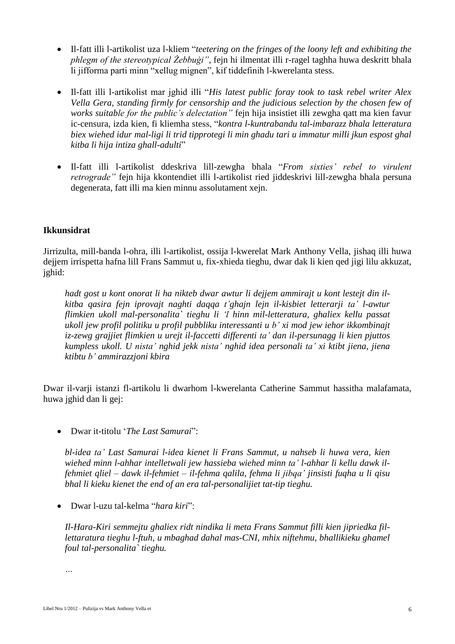- Il-fatt illi l-artikolist uza l-kliem "*teetering on the fringes of the loony left and exhibiting the phlegm of the stereotypical Żebbuġi"*, fejn hi ilmentat illi r-ragel taghha huwa deskritt bhala li jifforma parti minn "xellug mignen", kif tiddefinih l-kwerelanta stess.
- Il-fatt illi l-artikolist mar jghid illi "*His latest public foray took to task rebel writer Alex Vella Gera, standing firmly for censorship and the judicious selection by the chosen few of works suitable for the public's delectation"* fejn hija insistiet illi zewgha qatt ma kien favur ic-censura, izda kien, fi kliemha stess, "*kontra l-kuntrabandu tal-imbarazz bhala letteratura biex wiehed idur mal-ligi li trid tipprotegi li min ghadu tari u immatur milli jkun espost ghal kitba li hija intiza ghall-adulti*"
- Il-fatt illi l-artikolist ddeskriva lill-zewgha bhala "*From sixties' rebel to virulent retrograde"* fejn hija kkontendiet illi l-artikolist ried jiddeskrivi lill-zewgha bhala persuna degenerata, fatt illi ma kien minnu assolutament xejn.

#### **Ikkunsidrat**

Jirrizulta, mill-banda l-ohra, illi l-artikolist, ossija l-kwerelat Mark Anthony Vella, jishaq illi huwa dejjem irrispetta hafna lill Frans Sammut u, fix-xhieda tieghu, dwar dak li kien qed jigi lilu akkuzat, jghid:

*hadt gost u kont onorat li ha nikteb dwar awtur li dejjem ammirajt u kont lestejt din ilkitba qasira fejn iprovajt naghti daqqa t'ghajn lejn il-kisbiet letterarji ta' l-awtur flimkien ukoll mal-personalita` tieghu li 'l hinn mil-letteratura, ghaliex kellu passat ukoll jew profil politiku u profil pubbliku interessanti u b' xi mod jew iehor ikkombinajt iz-zewg grajjiet flimkien u urejt il-faccetti differenti ta' dan il-persunagg li kien pjuttos kumpless ukoll. U nista' nghid jekk nista' nghid idea personali ta' xi ktibt jiena, jiena ktibtu b' ammirazzjoni kbira*

Dwar il-varji istanzi fl-artikolu li dwarhom l-kwerelanta Catherine Sammut hassitha malafamata, huwa jghid dan li gej:

Dwar it-titolu '*The Last Samurai*":

*bl-idea ta' Last Samurai l-idea kienet li Frans Sammut, u nahseb li huwa vera, kien wiehed minn l-ahhar intelletwali jew hassieba wiehed minn ta' l-ahhar li kellu dawk ilfehmiet qliel – dawk il-fehmiet – il-fehma qalila, fehma li jibqa' jinsisti fuqha u li qisu bhal li kieku kienet the end of an era tal-personalijiet tat-tip tieghu.*

Dwar l-uzu tal-kelma "*hara kiri*":

*Il-Hara-Kiri semmejtu ghaliex ridt nindika li meta Frans Sammut filli kien jipriedka fillettaratura tieghu l-ftuh, u mbaghad dahal mas-CNI, mhix niftehmu, bhallikieku ghamel foul tal-personalita` tieghu.*

*…*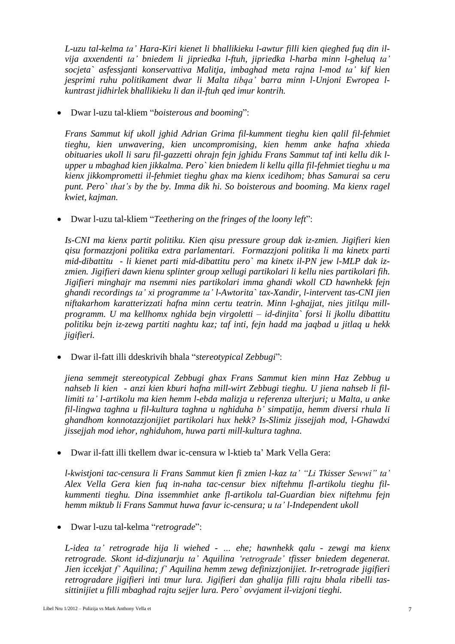*L-uzu tal-kelma ta' Hara-Kiri kienet li bhallikieku l-awtur filli kien qieghed fuq din ilvija axxendenti ta' bniedem li jipriedka l-ftuh, jipriedka l-harba minn l-gheluq ta' socjeta` asfessjanti konservattiva Malitja, imbaghad meta rajna l-mod ta' kif kien jesprimi ruhu politikament dwar li Malta tibqa' barra minn l-Unjoni Ewropea lkuntrast jidhirlek bhallikieku li dan il-ftuh qed imur kontrih.*

Dwar l-uzu tal-kliem "*boisterous and booming*":

*Frans Sammut kif ukoll jghid Adrian Grima fil-kumment tieghu kien qalil fil-fehmiet tieghu, kien unwavering, kien uncompromising, kien hemm anke hafna xhieda obituaries ukoll li saru fil-gazzetti ohrajn fejn jghidu Frans Sammut taf inti kellu dik lupper u mbaghad kien jikkalma. Pero` kien bniedem li kellu qilla fil-fehmiet tieghu u ma kienx jikkomprometti il-fehmiet tieghu ghax ma kienx icedihom; bhas Samurai sa ceru punt. Pero` that's by the by. Imma dik hi. So boisterous and booming. Ma kienx ragel kwiet, kajman.*

Dwar l-uzu tal-kliem "*Teethering on the fringes of the loony left*":

*Is-CNI ma kienx partit politiku. Kien qisu pressure group dak iz-zmien. Jigifieri kien qisu formazzjoni politika extra parlamentari. Formazzjoni politika li ma kinetx parti mid-dibattitu - li kienet parti mid-dibattitu pero` ma kinetx il-PN jew l-MLP dak izzmien. Jigifieri dawn kienu splinter group xellugi partikolari li kellu nies partikolari fih. Jigifieri minghajr ma nsemmi nies partikolari imma ghandi wkoll CD hawnhekk fejn ghandi recordings ta' xi programme ta' l-Awtorita` tax-Xandir, l-intervent tas-CNI jien niftakarhom karatterizzati hafna minn certu teatrin. Minn l-ghajjat, nies jitilqu millprogramm. U ma kellhomx nghida bejn virgoletti – id-dinjita` forsi li jkollu dibattitu politiku bejn iz-zewg partiti naghtu kaz; taf inti, fejn hadd ma jaqbad u jitlaq u hekk jigifieri.*

Dwar il-fatt illi ddeskrivih bhala "*stereotypical Zebbugi*":

*jiena semmejt stereotypical Zebbugi ghax Frans Sammut kien minn Haz Zebbug u nahseb li kien - anzi kien kburi hafna mill-wirt Zebbugi tieghu. U jiena nahseb li fillimiti ta' l-artikolu ma kien hemm l-ebda malizja u referenza ulterjuri; u Malta, u anke fil-lingwa taghna u fil-kultura taghna u nghiduha b' simpatija, hemm diversi rhula li ghandhom konnotazzjonijiet partikolari hux hekk? Is-Slimiz jissejjah mod, l-Ghawdxi jissejjah mod iehor, nghiduhom, huwa parti mill-kultura taghna.*

Dwar il-fatt illi tkellem dwar ic-censura w l-ktieb ta' Mark Vella Gera:

*l-kwistjoni tac-censura li Frans Sammut kien fi zmien l-kaz ta' "Li Tkisser Sewwi" ta' Alex Vella Gera kien fuq in-naha tac-censur biex niftehmu fl-artikolu tieghu filkummenti tieghu. Dina issemmhiet anke fl-artikolu tal-Guardian biex niftehmu fejn hemm miktub li Frans Sammut huwa favur ic-censura; u ta' l-Independent ukoll*

Dwar l-uzu tal-kelma "*retrograde*":

*L-idea ta' retrograde hija li wiehed - … ehe; hawnhekk qalu - zewgi ma kienx retrograde. Skont id-dizjunarju ta' Aquilina 'retrograde' tfisser bniedem degenerat. Jien iccekjat f' Aquilina; f' Aquilina hemm zewg definizzjonijiet. Ir-retrograde jigifieri retrogradare jigifieri inti tmur lura. Jigifieri dan ghalija filli rajtu bhala ribelli tassittinijiet u filli mbaghad rajtu sejjer lura. Pero` ovvjament il-vizjoni tieghi.*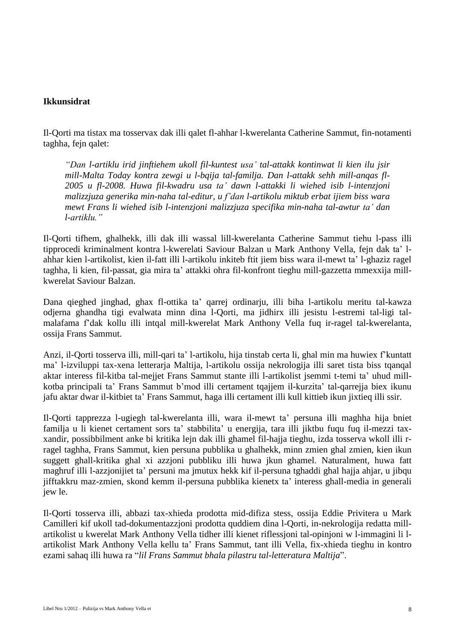#### **Ikkunsidrat**

Il-Qorti ma tistax ma tosservax dak illi qalet fl-ahhar l-kwerelanta Catherine Sammut, fin-notamenti taghha, fejn qalet:

*"Dan l-artiklu irid jinftiehem ukoll fil-kuntest usa' tal-attakk kontinwat li kien ilu jsir mill-Malta Today kontra zewgi u l-bqija tal-familja. Dan l-attakk sehh mill-anqas fl-2005 u fl-2008. Huwa fil-kwadru usa ta' dawn l-attakki li wiehed isib l-intenzjoni malizzjuza generika min-naha tal-editur, u f'dan l-artikolu miktub erbat ijiem biss wara mewt Frans li wiehed isib l-intenzjoni malizzjuza specifika min-naha tal-awtur ta' dan l-artiklu."*

Il-Qorti tifhem, ghalhekk, illi dak illi wassal lill-kwerelanta Catherine Sammut tiehu l-pass illi tipprocedi kriminalment kontra l-kwerelati Saviour Balzan u Mark Anthony Vella, fejn dak ta' lahhar kien l-artikolist, kien il-fatt illi l-artikolu inkiteb ftit jiem biss wara il-mewt ta' l-ghaziz ragel taghha, li kien, fil-passat, gia mira ta' attakki ohra fil-konfront tieghu mill-gazzetta mmexxija millkwerelat Saviour Balzan.

Dana qieghed jinghad, ghax fl-ottika ta' qarrej ordinarju, illi biha l-artikolu meritu tal-kawza odjerna ghandha tigi evalwata minn dina l-Qorti, ma jidhirx illi jesistu l-estremi tal-ligi talmalafama f'dak kollu illi intqal mill-kwerelat Mark Anthony Vella fuq ir-ragel tal-kwerelanta, ossija Frans Sammut.

Anzi, il-Qorti tosserva illi, mill-qari ta' l-artikolu, hija tinstab certa li, ghal min ma huwiex f'kuntatt ma' l-izviluppi tax-xena letterarja Maltija, l-artikolu ossija nekrologija illi saret tista biss tqanqal aktar interess fil-kitba tal-mejjet Frans Sammut stante illi l-artikolist jsemmi t-temi ta' uhud millkotba principali ta' Frans Sammut b'mod illi certament tqajjem il-kurzita' tal-qarrejja biex ikunu jafu aktar dwar il-kitbiet ta' Frans Sammut, haga illi certament illi kull kittieb ikun jixtieq illi ssir.

Il-Qorti tapprezza l-ugiegh tal-kwerelanta illi, wara il-mewt ta' persuna illi maghha hija bniet familja u li kienet certament sors ta' stabbilita' u energija, tara illi jiktbu fuqu fuq il-mezzi taxxandir, possibbilment anke bi kritika lejn dak illi ghamel fil-hajja tieghu, izda tosserva wkoll illi rragel taghha, Frans Sammut, kien persuna pubblika u ghalhekk, minn zmien ghal zmien, kien ikun suggett ghall-kritika ghal xi azzjoni pubbliku illi huwa jkun ghamel. Naturalment, huwa fatt maghruf illi l-azzjonijiet ta' persuni ma jmutux hekk kif il-persuna tghaddi ghal hajja ahjar, u jibqu jifftakkru maz-zmien, skond kemm il-persuna pubblika kienetx ta' interess ghall-media in generali jew le.

Il-Qorti tosserva illi, abbazi tax-xhieda prodotta mid-difiza stess, ossija Eddie Privitera u Mark Camilleri kif ukoll tad-dokumentazzjoni prodotta quddiem dina l-Qorti, in-nekrologija redatta millartikolist u kwerelat Mark Anthony Vella tidher illi kienet riflessjoni tal-opinjoni w l-immagini li lartikolist Mark Anthony Vella kellu ta' Frans Sammut, tant illi Vella, fix-xhieda tieghu in kontro ezami sahaq illi huwa ra "*lil Frans Sammut bhala pilastru tal-letteratura Maltija*".